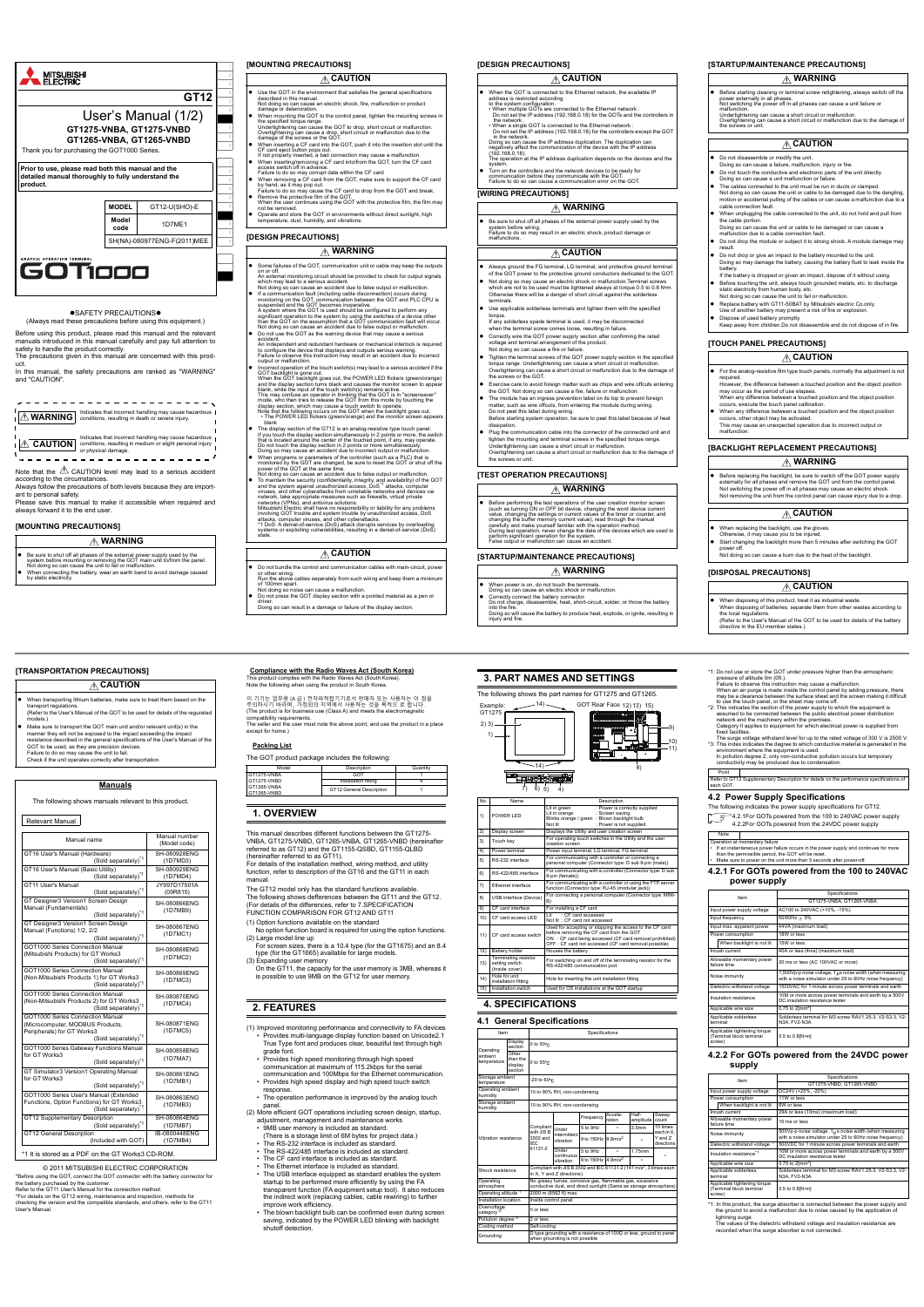

#### **OSAFETY PRECAUTIONSO**

In this manual, the safety precautions are ranked as "WARNING" and "CAUTION".

**WARNING** Indicates that incorrect handling may cause hazardous conditions, resulting in death or severe injury.

**CAUTION** conditions, resulting in medium or slight personal injury<br>
or physical damage.

Note that the  $\triangle$  CAUTION level may lead to a serious accident according to the circumstances.

(Always read these precautions before using this equipment.) Before using this product, please read this manual and the relevant manuals introduced in this manual carefully and pay full attention to

safety to handle the product correctly. The precautions given in this manual are concerned with this product.

Always follow the precautions of both levels because they are import-

ant to personal safety. Please save this manual to make it accessible when required and always forward it to the end user.

#### **[MOUNTING PRECAUTIONS]**

- Use the GOT in the environment that satisfies the general specifications<br>
Not doing so can cause an electric shock, fire, malfunction or product<br>
damage or deterioration.<br>
 When mounting the GOT to the control panel, t
- 
- Underlightening can cause a drop, short circuit or malfunction.<br>Overtightening can cause a drop, short circuit or malfunction due to the<br>damage of the screws or the GOT.<br>When inserting a CF card into the GOT, push it into
- 
- Failure to do so may compt data within the CF card<br>
When removing a CF card from the GOT, make sure to support the CF card<br>
by hand, as it may pop out.<br>
Failure to do so may cause the CF card to drop from the GOT and brea
- 
- Operate and store the GOT in environments without direct sunlight, high temperature, dust, humidity, and vibrations.

### **WARNING**

● Be sure to shut off all phases of the external power supply used by the system before mounting or removing the GOT main unit to/from the panel. Not doing so can cause the unit to fail or malfunction.<br>● When connecting t

### **[MOUNTING PRECAUTIONS]**

# **ACAUTION**

# **[DESIGN PRECAUTIONS]**

# **WARNING**

 Some failures of the GOT, communication unit or cable may keep the outputs on or off. An external monitoring circuit should be provided to check for output signals which may lead to a serious accident.

- which hiay lead to a senous accident.<br>Not doing so can cause an accident due to false output or malfunction.
- If a communication fault (including cable disconnection) occurs during<br>monitoring on the GOT, communication between the GOT and PLC CPU is<br>suspended and the GOT becomes inoperative.<br>A system where the GOT is used should Not doing so can cause an accident due to false output or malfunction. Do not use the GOT as the warning device that may cause a serious
- accident. An independent and redundant hardware or mechanical interlock is required to configure the device that displays and outputs serious warning. Failure to observe this instruction may result in an accident due to incorrect
- ւ առուշ ոշ տշեռ ve սոշ ուշսոնատուությ resur, ու an accident due to incorrect<br>output or malfunction.<br>Incorrect operation of the touch switch(s) may lead to a serious accident if th
- $\bullet$  Incorrect operation of the touch switch(s) may lead to a serious accident if the GOT backlight is gone out.<br>When the GOT backlight goes out, the POWER LED flickers (green/orange)<br>and the display section turns black a blank, while the input of the touch switch(s) remains active.<br>This may confuse an operator in thinking that the GOT is in "screensaver"<br>mode, who then tries to release the GOT from this mode by touching the

display section, which may cause a touch switch to operate.<br>Note that the following occurs on the GOT when the backlight goes out.<br>• The POWER LED flickers (green/orange) and the monitor screen appears

- 
- 
- blank<br>
The display section of the GT12 is an analog-resistive type touch panel.<br>
The display section of the GT12 is an analog-resistive type touch panel.<br>
If you touch the display section in multaneously in 2 points or mor
- 
- involving GOT trouble and system trouble by unauthorized access, DoS<br>attacks, computer viruses, and other cyberattacks.<br>\*1 DoS: A denial-of-service (DoS) attack disrupts services by overloading<br>systems or exploiting vulner

# **CAUTION**

- 
- When the GOT is connected to the Ethernet network, the available IP<br>address is restricted according<br>to the system configuration.<br>• When multiple GOTs are connected to the Ethernet network :<br>Do not set the IP address (192 the network.<br>When a single GOT is connected to the Ethernet network :<br>Do not set the IP address (192.168.0.18) for the controllers except the GOT in the network. Doing so can cause the IP address duplication. The duplication can
- negatively affect the communication of the device with the IP address (192.168.0.18). The operation at the IP address duplication depends on the devices and the system.
- Turn on the controllers and the network devices to be ready for communication before they communicate with the GOT. Failure to do so can cause a communication error on the GOT.

- For the analog-resistive film type touch panels, normally the adjustment is not
- required.<br>However, the difference between a touched position and the object position<br>may occur as the period of use elapses.<br>When any difference between a touched position and the object position<br>occurs, execute the touch
- 
- 

- Do not bundle the control and communication cables with main-circuit, power
- or other wiring.<br>Run the above cables separately from such wiring and keep them a minimum<br>of 100mm apart.<br>● Do not press the GOT display section with a pointed material as a pen or<br>● Do not press the GOT display section w
- driver. Doing so can result in a damage or failure of the display section.

# **[DESIGN PRECAUTIONS]**

# **[WIRING PRECAUTIONS]**

# **[TEST OPERATION PRECAUTIONS]**

# **WARNING**

● Before performing the test operations of the user creation monitor screen<br>(such as turning ON or OFF bit device, changing the word device current<br>value, changing the settings or current values of the timer or counter, a

#### **[STARTUP/MAINTENANCE PRECAUTIONS]**

 $SH-0$ (1D7MD4)  Be sure to shut off all phases of the external power supply used by the system before wiring. Failure to do so may result in an electric shock, product damage or malfunctions.

This manual describes different functions between the GT1275- VNBA, GT1275-VNBD, GT1265-VNBA, GT1265-VNBD (hereinafter referred to as GT12) and the GT1155-QSBD, GT1155-QLBD (hereinafter referred to as GT11). For details of the installation method, wiring method, and utility function, refer to description of the GT16 and the GT11 in each

- Always ground the FG terminal, LG terminal, and protective ground terminal of the GOT power to the protective ground conductors dedicated to the GOT. Not doing so may cause an electric shock or malfunction.Terminal screws
- which are not to be used must be tightened always at torque 0.5 to 0.8 N•m. Otherwise there will be a danger of short circuit against the solderless terminals.
- Use applicable solderless terminals and tighten them with the specified
- torque. If any solderless spade terminal is used, it may be disconnected
- when the terminal screw comes loose, resulting in failure.<br>
 Correctly wire the GOT power supply section after confirming the rated<br>
voltage and terminal arrangement of the product.<br>
Not doing so can cause a fire or failu
- Tighten the terminal screws of the GOT power supply section in the specified torque range. Undertightening can cause a short circuit or malfunction. Overtightening can cause a short circuit or malfunction due to the damage of
- the screws or the GOT.
- Exercise care to avoid foreign matter such as chips and wire offcuts entering<br>the GOT. Not doing so can cause a fire, failure or maffunction.<br>■ The module has an ingress prevention label on its top to prevent foreign<br>ma
- Plug the communication cable into the connector of the connected unit and tighten the mounting and terminal screws in the specified torque range. Undertightening can cause a short circuit or malfunction.
- Overtightening can cause a short circuit or malfunction due to the damage of the screws or unit.

T1275-VNBA GT1275-VNBD GT1265-VNBA GT1265-VNBD

> 2) Display screen Displays the Utility and user creation screen<br>3) Touch key For operating touch switches in the Utility and the user creation screen 4) Power terminal Power input terminal, LG terminal, FG terminal 5) RS-232 interface For communicating with a controller or connecting a personal computer (Connector type: D sub 9-pin (male)) S-422/485 interface For communicating with a controller (Connector type: D sub-9-pin (female)) 7) Ethernet interface For communicating with a controller or using the FTP server function (Connector type: RJ-45 (modular jack))

> > -it : CF card accessed<br>Not lit : CF card not

### **CAUTION**

# **WARNING**

- **WARNING**
- When power is on, do not touch the terminals. Doing so can cause an electric shock or malfunction.
- Correctly connect the battery connector. Do not charge, disassemble, heat, short-circuit, solder, or throw the battery
- into the fire. Doing so will cause the battery to produce heat, explode, or ignite, resulting in injury and fire.

# **CAUTION**

# **[STARTUP/MAINTENANCE PRECAUTIONS]**

# **[TOUCH PANEL PRECAUTIONS]**

# **CAUTION**

# **[BACKLIGHT REPLACEMENT PRECAUTIONS]**

# **[DISPOSAL PRECAUTIONS]**

# **EXAMPLE 12**

 Before starting cleaning or terminal screw retightening, always switch off the power externally in all phases. Not switching the power off in all phases can cause a unit failure or malfunction. Undertightening can cause a short circuit or malfunction. Overtightening can cause a short circuit or malfunction due to the damage of the screws or unit.

- Do not disassemble or modify the unit. Doing so can cause a failure, malfunction, injury or fire.
- Do not touch the conductive and electronic parts of the unit directly.
- Doing so can cause a unit malfunction or failure. The cables connected to the unit must be run in ducts or clamped.
- Not doing so can cause the unit or cable to be damaged due to the dangling, motion or accidental pulling of the cables or can cause a malfunction due to a cable connection fault.
- When unplugging the cable connected to the unit, do not hold and pull from the cable portion. Doing so can cause the unit or cable to be damaged or can cause a malfunction due to a cable connection fault.
- Do not drop the module or subject it to strong shock. A module damage may
- result. Do not drop or give an impact to the battery mounted to the unit.<br>Doing so may damage the battery, causing the battery fluid to le  $n$ age the battery, causing the battery fluid to leak inside the
- battery. If the battery is dropped or given an impact, dispose of it without using.
- Before touching the unit, always touch grounded metals, etc. to discharge static electricity from human body, etc. Not doing so can cause the unit to fail or malfunction. Replace battery with GT11-50BAT by Mitsubishi electric Co.only.
- Use of another battery may present a risk of fire or explosion. Dispose of used battery promptly. Keep away from children.Do not disassemble and do not dispose of in fire.

 Before replacing the backlight, be sure to switch off the GOT power supply externally for all phases and remove the GOT unit from the control panel. Not switching the power off in all phases may cause an electric shock. Not removing the unit from the control panel can cause injury due to a drop.

### **ACAUTION**

- When replacing the backlight, use the gloves.
- Otherwise, it may cause you to be injured. Start changing the backlight more than 5 minutes after switching the GOT power off.
- Not doing so can cause a burn due to the heat of the backlight.

- When disposing of this product, treat it as industrial waste. When disposing of batteries, separate them from other wastes according to
- the local regulations. (Refer to the User's Manual of the GOT to be used for details of the battery directive in the EU member states.)

# **WARNING**

# **CAUTION**

# **WARNING**

**[TRANSPORTATION PRECAUTIONS]**

**Manuals** The following shows manuals relevant to this product.

(Sold separately)

(Sold separately)

(Sold separately)

(Sold separately)

(Sold separately)

(Sold separately)

Manual name **Manual number** Manual number

\*1 It is stored as a PDF on the GT Works3 CD-ROM.

#### © 2011 MITSUBISHI ELECTRIC CORPORATION

\*Before using the GOT, connect the GOT connector with the battery connector for the battery purchased by the customer. Refer to the GT11 User's Manual for the connection method. \*For details on the GT12 wiring, maintenance and inspection, methods for checking the version and the compatible standards, and others, refer to the GT11 User's Manual.

When transporting lithium batteries, make sure to treat them based on the

**CAUTION** 

transport regulations.<br>(Refer to the User's Manual of the GOT to be used for details of the regurate models.)<br>Make sure to transport the GOT main unit and/or relevant unit(s) in the

• Make sure to transport the GOT main unit and/or relevant unit(s) in the<br>manner they will not be exposed to the impact exceeding the impact<br>resistance described in the general specifications of the User's Manual of the<br>GO

transport regulations.

Relevant Manual

(Model code)

GT16 User's Manual (Hardware)

SH-080928ENG (1D7MD3)

GT16 User's Manual (Basic Utility)

GT11 User's Manual

JY997D17501A (09R815)

GT Designer3 Version1 Screen Design Manual (Fundamentals)

SH-080866ENG (1D7MB9)

GT Designer3 Version1 Screen Design Manual (Functions) 1/2, 2/2

SH-080867ENG (1D7MC1)

GOT1000 Series Connection Manual (Mitsubishi Products) for GT Works3

SH-080868ENG (1D7MC2)

GOT1000 Series Connection Manual

SH-080869ENG (1D7MC3)

| (Non-Mitsubishi Products 1) for GT Works3<br>(Sold separately) <sup>*1</sup>                                                          | (1D7MC3)                  |
|---------------------------------------------------------------------------------------------------------------------------------------|---------------------------|
| GOT1000 Series Connection Manual<br>(Non-Mitsubishi Products 2) for GT Works3<br>(Sold separately)*1                                  | SH-080870ENG<br>(1D7MC4)  |
| GOT1000 Series Connection Manual<br>(Microcomputer, MODBUS Products,<br>Peripherals) for GT Works3<br>(Sold separately) <sup>*1</sup> | SH-080871ENG<br>(1D7MC5)  |
| GOT1000 Series Gateway Functions Manual<br>for GT Works3<br>(Sold separately) <sup>*1</sup>                                           | SH-080858ENG<br>(1D7MA7)  |
| GT Simulator3 Version1 Operating Manual<br>for GT Works3<br>(Sold separately) <sup>*1</sup>                                           | SH-080861ENG<br>(1D7MB1)  |
| GOT1000 Series User's Manual (Extended<br>Functions, Option Functions) for GT Works3<br>(Sold separately) <sup>*1</sup>               | SH-080863ENG<br>(1D7MB3)  |
| GT12 Supplementary Description<br>(Sold separately) <sup>*1</sup>                                                                     | SH-080864ENG<br>(1D7MB7)  |
| <b>GT12 General Description</b><br>(Included with GOT)                                                                                | IB-0800448ENG<br>(1D7MB4) |

 **Compliance with the Radio Waves Act (South Korea)** This product complies with the Radio Waves Act (South Korea). Note the following when using the product in South Korea.

**Packing List**

The GOT product package includes the following:

이 기기는 입무용(A 급 ) 전자파적합기기로서 판매자 또는 사용자는 이 점을<br>주의하시기 바라며 , 가정외의 지역에서 사용하는 것을 목적으 로 합니다 .<br>(The product is for business use (Class A) and meets the electromagnetic<br>compatibility requirements.<br>The seller and the user must note t

Descriptio

Installation fitting GT12 General De

GOT 1

**1. OVERVIEW**

manual.

The GT12 model only has the standard functions available. The following shows defferences between the GT11 and the GT12. (For details of the differences, refer to [7.SPECIFICATION](#page-2-0)  [FUNCTION COMPARISON FOR GT12 AND GT11](#page-2-0) (1) Option functions available on the standard

No option function board is required for using the option functions. (2) Large model line up For screen sizes, there is a 10.4 type (for the GT1675) and an 8.4

type (for the GT1665) available for large models.

(3) Expanding user memory On the GT11, the capacity for the user memory is 3MB, whereas it is possible to use 9MB on the GT12 for user memory.

# **2. FEATURES**

(1) Improved monitoring performance and connectivity to FA devices

- Provides multi-language display function based on Unicode2.1 True Type font and produces clear, beautiful text through high grade font.
- Provides high speed monitoring through high speed communication at maximum of 115.2kbps for the serial communication and 100Mbps for the Ethernet communication.
- Provides high speed display and high speed touch switch response.
- The operation performance is improved by the analog touch panel.
- (2) More efficient GOT operations including screen design, startup, adjustment, management and maintenance works
	- 9MB user memory is included as standard. (There is a storage limit of 6M bytes for project data.) • The RS-232 interface is included as standard.
- 
- The RS-422/485 interface is included as standard.
- The CF card interface is included as standard
- The Ethernet interface is included as standard
- The USB interface equipped as standard enables the system startup to be performed more efficiently by using the FA transparent function (FA equipment setup tool). It also reduces the indirect work (replacing cables, cable rewiring) to further improve work efficiency.
- The blown backlight bulb can be confirmed even during screen saving, indicated by the POWER LED blinking with backlight shutoff detection.

**3. PART NAMES AND SETTINGS** The following shows the part names for GT1275 and GT1265.

Example: 14) GOT Rear Face 12 (13) 15)

No. Name Name No. Description

 $-14)$  $7)$  6) 5) 4)

# **4. SPECIFICATIONS**

#### **4.1 General Specifications**

12) Battery holder Houses the battery

1) POWER LED

 $2)$  3) - $1) -$ 

Lit in orange : Screen saving Blinks orange / green : Blown backlight bulb

B) 9) CF card interface For installing a CF card

: Power is correctly supplie<br>: Screen saving

13)

Terminating resistor setting switch (Inside cover)

14) Hole for unit<br>installation fi

For switching on and off of the terminating resistor for the RS-422/485 communication port

**Hole for inserting the unit installation fitting** 

15) Installation switch Used for OS installations at the GOT startup

| Item                                  |                                         | Specifications                                                                                                                |                                                                                                             |                                |                   |                    |                        |
|---------------------------------------|-----------------------------------------|-------------------------------------------------------------------------------------------------------------------------------|-------------------------------------------------------------------------------------------------------------|--------------------------------|-------------------|--------------------|------------------------|
| Operating                             | Display<br>section                      | 0 to $50^{\circ}$ c.                                                                                                          |                                                                                                             |                                |                   |                    |                        |
| ambient<br>temperature                | Other<br>than the<br>display<br>section | $0$ to $55^{\circ}$ C                                                                                                         |                                                                                                             |                                |                   |                    |                        |
| Storage ambient<br>temperature        |                                         | -20 to 60°C                                                                                                                   |                                                                                                             |                                |                   |                    |                        |
| Operating ambient<br>humidity         |                                         |                                                                                                                               | 10 to 90% RH, non-condensing                                                                                |                                |                   |                    |                        |
| Storage ambient<br>humidity           |                                         |                                                                                                                               | 10 to 90% RH, non-condensing                                                                                |                                |                   |                    |                        |
|                                       |                                         |                                                                                                                               |                                                                                                             | Frequency                      | Accele-<br>ration | Half-<br>amplitude | Sweep<br>count         |
|                                       |                                         | Compliant<br>with JIS <sub>B</sub><br>3502 and<br>IFC.                                                                        | Under<br>intermittent<br>vibration                                                                          | 5 to 9Hz                       |                   | 3.5 <sub>mm</sub>  | 10 times<br>each in X. |
| Vibration resistance                  |                                         |                                                                                                                               |                                                                                                             | 9 to 150Hz 9.8m/s <sup>2</sup> |                   |                    | Y and 7<br>directions  |
|                                       |                                         | 61131-2<br><b>Under</b><br>continuous<br>vibration                                                                            | 5 to 9Hz                                                                                                    |                                | 1.75mm            |                    |                        |
|                                       |                                         |                                                                                                                               |                                                                                                             | 9 to 150Hz 4.9m/s <sup>2</sup> |                   |                    |                        |
| Shock resistance                      |                                         |                                                                                                                               | Compliant with JIS B 3502 and IEC 61131-2 (147 m/s <sup>2</sup> , 3 times each<br>in X. Y and Z directions) |                                |                   |                    |                        |
| Operating<br>atmosphere               |                                         | No greasy fumes, corrosive gas, flammable gas, excessive<br>conductive dust, and direct sunlight (Same as storage atmosphere) |                                                                                                             |                                |                   |                    |                        |
| Operating altitude <sup>*1</sup>      |                                         |                                                                                                                               | 2000 m (6562 ft) max.                                                                                       |                                |                   |                    |                        |
| Installation location                 |                                         | Inside control panel                                                                                                          |                                                                                                             |                                |                   |                    |                        |
| Overvoltage<br>category <sup>*2</sup> |                                         | II or less                                                                                                                    |                                                                                                             |                                |                   |                    |                        |
| Pollution degree <sup>*3</sup>        |                                         | 2 or less                                                                                                                     |                                                                                                             |                                |                   |                    |                        |
| Cooling method                        |                                         | Self-cooling                                                                                                                  |                                                                                                             |                                |                   |                    |                        |
| Groundina                             |                                         | D type grounding with a resistance of $100\Omega$ or less, ground to panel<br>when grounding is not possible                  |                                                                                                             |                                |                   |                    |                        |

9) 10) 11)

: Power is not supplied

Used for accepting or stopping the access to the CF card<br>before removing the CF card from the GOT<br>ON : CF card being accessed (CF card removal prohibited)<br>OFF : CF card not accessed (CF card removal possible)

8)

GT1275

8) USB interface (Device

 $10$  CF card access LED

11) CF card access switch

\*1: Do not use or store the GOT under pressure higher than the atmospheric pressure of altitude 0m (0ft.). Failure to observe this instruction may cause a malfunction.

When an air purge is made inside the control panel by adding pressure, there<br>may be a clearance between the surface sheet and the screen making it difficult<br>to use the touch panel, or the sheet may come off.<br>22: This incl

The surge voltage withstand level for up to the rated voltage of 300 V is 2500 V.<br>
"3: This index indicates the degree to which conductive material is generated in the environment where the equipment is used.<br>
In pollution

Refer to GT12 Supplementary Description for details on the performance specification

**4.2 Power Supply Specifications** The following indicates the power supply specifications for GT12.  $\widehat{P}$  [4.2.1For GOTs powered from the 100 to 240VAC power supply](#page-0-0) [4.2.2For GOTs powered from the 24VDC power supply](#page-0-1)

Input power supply voltage AC100 to 240VAC (+10%, -15%)

<span id="page-0-0"></span>**4.2.1 For GOTs powered from the 100 to 240VAC**

Item Specifications<br>
GT1275-VNBA, GT1265-VNBA

14VA (maximum

Operation at momentary failure<br>• If an instantaneous power failure occurs in the power supply and continues for more<br>• than the permissible period, the GOT will be reset.<br>• Make sure to power on the unit more than 5 second

**power supply**

Input frequency  $50/60$ Hz  $\pm 5%$ 

Power consumption 18W or less When backlight is not lit 15W or less

Allowable momentary powe

### <span id="page-0-1"></span>**4.2.2 For GOTs powered from the 24VDC power supply**

\*1: In this product, the surge absorber is connected between the power supply and the ground to avoid a malfunction due to noise caused by the application of lightning surge. The values of the dielectric withstand voltage and insulation resistance are

recorded when the surge absorber is not connected.

Point

ach GOT

Note

Inrush current 40A or less (4ms) (maximum load)

Allowable momentary power<br>ailure time

| Dielectric withstand voltage                                       | 1500VAC for 1 minute across power terminals and earth                                     |
|--------------------------------------------------------------------|-------------------------------------------------------------------------------------------|
| Insulation resistance                                              | 10M or more across power terminals and earth by a 500V<br>DC insulation resistance tester |
| Applicable wire size                                               | 0.75 to $2$ [mm <sup>2</sup> ]                                                            |
| Applicable solderless<br>terminal                                  | Solderless terminal for M3 screw RAV1.25-3. V2-S3.3. V2-<br>N3A. FV2-N3A                  |
| Applicable tightening torque<br>(Terminal block terminal<br>screw) | 0.5 to 0.8[N-m]                                                                           |

1,500Vp-p noise voltage, 1 us noise width (when measuring loise immunity local with a noise simulator under 25 to 60Hz noise frequency)

| Item                                                               | Specifications                                                                                                                     |  |
|--------------------------------------------------------------------|------------------------------------------------------------------------------------------------------------------------------------|--|
|                                                                    | GT1275-VNBD, GT1265-VNBD                                                                                                           |  |
| Input power supply voltage                                         | DC24V (+25%, -20%)                                                                                                                 |  |
| Power consumption                                                  | 11W or less                                                                                                                        |  |
| When backlight is not lit                                          | 6W or less                                                                                                                         |  |
| Inrush current                                                     | 29A or less (10ms) (maximum load)                                                                                                  |  |
| Allowable momentary power<br>failure time                          | 10 ms or less                                                                                                                      |  |
| Noise immunity                                                     | 500Vp-p noise voltage, $1_{\mathcal{U}}$ s noise width (when measuring<br>with a noise simulator under 25 to 60Hz noise frequency) |  |
| Dielectric withstand voltage <sup>"1</sup>                         | 500VDC for 1 minute across power terminals and earth                                                                               |  |
| Insulation resistance <sup>*1</sup>                                | 10M or more across power terminals and earth by a 500V<br>DC insulation resistance tester                                          |  |
| Applicable wire size                                               | $0.75$ to $2$ [mm <sup>2</sup> ]                                                                                                   |  |
| Applicable solderless<br>terminal                                  | Solderless terminal for M3 screw RAV1.25-3, V2-S3.3, V2-<br>N3A. FV2-N3A                                                           |  |
| Applicable tightening torque<br>(Terminal block terminal<br>screw) | 0.5 to 0.8[N-m]                                                                                                                    |  |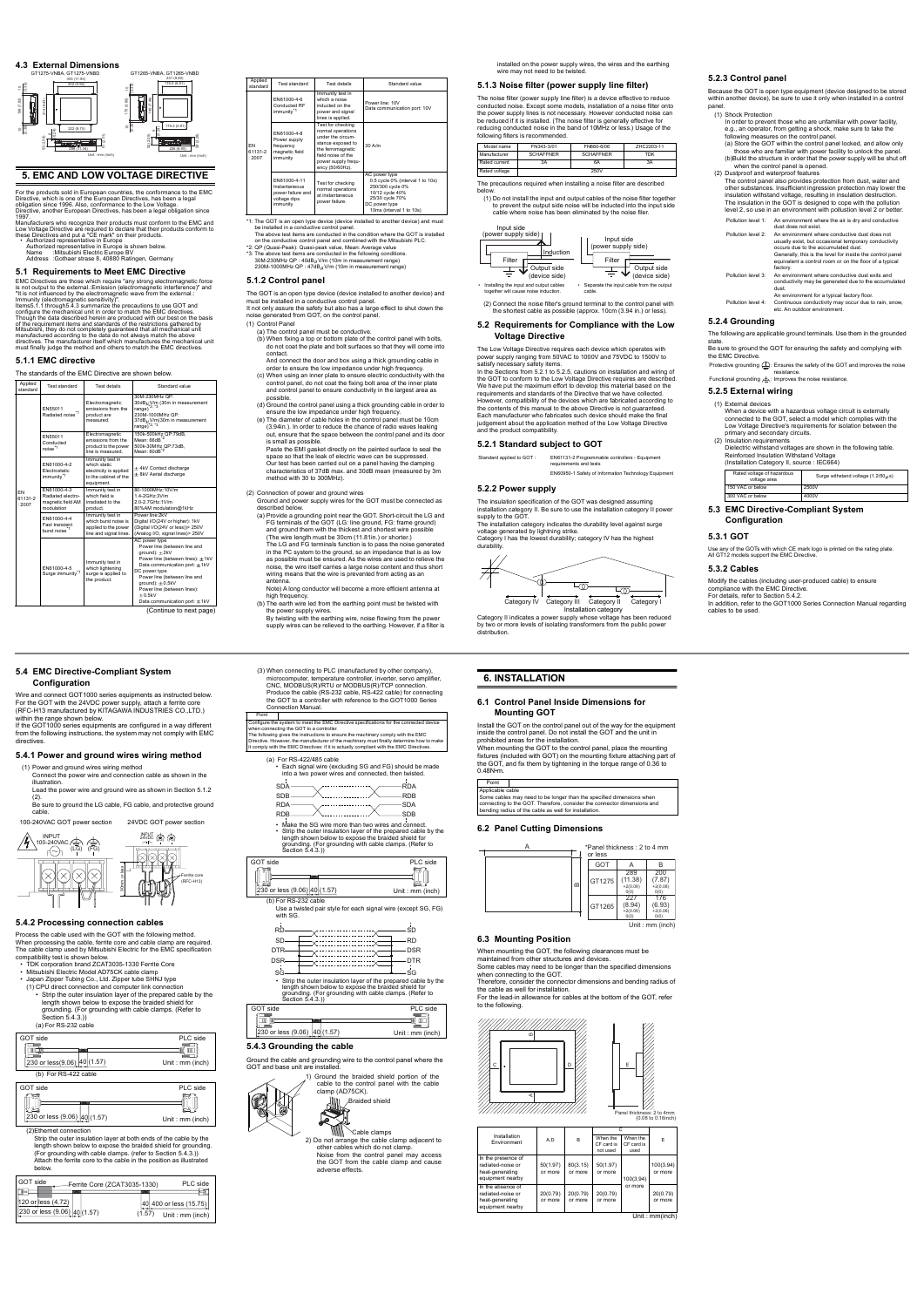#### **4.3 External Dimensions**

#### **5. EMC AND LOW VOLTAGE DIRECTIVE**

For the products sold in European countries, the conformance to the EMC<br>Directive, which is one of the European Directives, has been a legal<br>obligation since 1996. Also, conformance to the Low Voltage.<br>Directive, another E

Low Voltage Directive are required to declare that their products conform to<br>these Directives and put a "CE mark" on their products.<br>Authorized representative in Europe<br>Authorized representative in Europe is shown below.<br>N

- 
- 

# **5.1 Requirements to Meet EMC Directive**

EMC Directives are those which require "any strong electromagnetic force<br>is not output to the external.:Emission (electromagnetic interference)" and<br>"It is not influenced by the electromagnetic wave from the external.:<br>Imm

Though the data described herein are produced with our best on the basis<br>of the requirement items and standards of the restrictions gathered by<br>Mitsubishi, they do not completely guaranteed that all mechanical unit<br>manufac

### <span id="page-1-5"></span>**5.1.1 EMC directive**

The standards of the EMC Directive are shown below.

(Continue to next page)

The GOT is an open type device (device installed to another device) and must be installed in a conductive control panel. It not only assure the safety but also has a large effect to shut down the not only assure the safety but also has a large<br>bise generated from GOT, on the control pan

| Applied<br>standard           | Test standard                                                       | <b>Test details</b>                                                                               | Standard value                                                                                                                                                                                                                                            |
|-------------------------------|---------------------------------------------------------------------|---------------------------------------------------------------------------------------------------|-----------------------------------------------------------------------------------------------------------------------------------------------------------------------------------------------------------------------------------------------------------|
|                               | FN55011<br>Radiated noise <sup>*1</sup>                             | Electromagnetic<br>emissions from the<br>product are<br>measured.                                 | 30M-230MHz OP:<br>30dB <sub>tt</sub> V/m (30m in measurement<br>range) $2, 3$<br>230M-1000MHz OP:<br>37dB <sub>tt</sub> V/m(30m in measurement<br>range) $2, 3$                                                                                           |
|                               | FN55011<br>Conducted<br>noise <sup>*1</sup>                         | Electromagnetic<br>emissions from the<br>product to the power<br>line is measured                 | 150k-500kHz QP:79dB,<br>Mean: 66dR <sup>*2</sup><br>500k-30MHz QP:73dB,<br>Mean: 60dR <sup>*2</sup>                                                                                                                                                       |
|                               | FN61000-4-2<br><b>Flectrostatic</b><br>immunity <sup>*1</sup>       | Immunity test in<br>which static<br>electricity is applied<br>to the cabinet of the<br>equipment. | $\pm$ 4kV Contact discharge<br>$\pm$ 8kV Aerial discharge                                                                                                                                                                                                 |
| <b>FN</b><br>61131-2<br>.2007 | FN61000-4-3<br>Radiated electro-<br>magnetic field AM<br>modulation | Immunity test in<br>which field is<br>irradiated to the<br>product.                               | 80-1000MHz:10V/m<br>1.4-2GHz:3V/m<br>2.0-2.7GHz:1V/m<br>80%AM modulation@1kHz                                                                                                                                                                             |
|                               | FN61000-4-4<br><b>Fast transient</b><br>burst noise <sup>*1</sup>   | Immunity test in<br>which burst noise is<br>applied to the power<br>line and signal lines.        | Power line:2kV<br>Digital I/O(24V or higher): 1kV<br>(Digital I/O(24V or less))> 250V<br>(Analog I/O, signal lines) > 250V                                                                                                                                |
|                               | FN61000-4-5<br>Surge immunity <sup>*1</sup>                         | Immunity test in<br>which lightening<br>surge is applied to<br>the product.                       | AC power type<br>Power line (between line and<br>$around): \pm 2kVPower line (between lines): ±1kVData communication port: ±1kVDC power typePower line (between line andground): \pm 0.5kVPower line (between lines):+0.5kVData communication port: ±1kV$ |



installed on the power supply wires, the wires and the earthing wire may not need to be twi

#### <span id="page-1-3"></span>**5.1.2 Control panel**

(1) Control Panel (a) The control panel must be conductive.

> The Low Voltage Directive requires each device which operates with<br>power supply ranging from 50VAC to 1000V and 75VDC to 1500V to<br>satisfy necessary safety items.<br>In the Sections from [5.2.1](#page-1-0) to [5.2.5](#page-1-1), cautions on installatio We have put the maximum effort to develop this material based on the requirements and standards of the Directive that we have collected. However, compatibility of the devices which are fabricated according to the contents of this manual to the above Directive is not guaranteed. Each manufacturer who fabricates such device should make the final judgement about the application method of the Low Voltage Directive and the product compatibility.

Category II indicates a power supply whose voltage but by two or more levels of isolating transformers from the public power distribution.

- (b) When fixing a top or bottom plate of the control panel with bolts, do not coat the plate and bolt surfaces so that they will come into contact.
- And connect the door and box using a thick grounding cable in<br>order to ensure the low impedance under high frequency.<br>(c) When using an inner plate to ensure electric conductivity with the
- control panel, do not coat the fixing bolt area of the inner plate and control panel to ensure conductivity in the largest area as possible.
- (d) Ground the control panel using a thick grounding cable in order to
- ensure the low impedance under high frequency. (e) The diameter of cable holes in the control panel must be 10cm (3.94in.). In order to reduce the chance of radio waves leaking out, ensure that the space between the control panel and its door
- is small as possible. Paste the EMI gasket directly on the painted surface to seal the space so that the leak of electric wave can be suppressed. Our test has been carried out on a panel having the damping characteristics of 37dB max. and 30dB mean (measured by 3m method with 30 to 300MHz).
- (2) Connection of power and ground wires Ground and power supply wires for the GOT must be connected as
- described below. (a) Provide a grounding point near the GOT. Short-circuit the LG and FG terminals of the GOT (LG: line ground, FG: frame ground) and ground them with the thickest and shortest wire possible (The wire length must be 30cm (11.81in.) or shorter.) The LG and FG terminals function is to pass the noise generated<br>in the PC system to the ground, so an impedance that is as low<br>as possible must be ensured. As the wires are used to relieve the<br>noise, the wire itself carrie wiring means that the wire is prevented from acting as an ante
- Note) A long conductor will become a more efficient antenna at high frequency. (b) The earth wire led from the earthing point must be twisted with
- 
- the power supply wires. By twisting with the earthing wire, noise flowing from the power supply wires can be relieved to the earthing. However, if a filter is

Be sure to ground the GOT for ensuring the safety and complying with the EMC Directive.

(2) Insulation requirements Dielectric withstand voltages are shown in the following table.

| Applied<br>standard     | Test standard                                                                  | <b>Test details</b>                                                                                                                                                   | Standard value                                                                                                               |
|-------------------------|--------------------------------------------------------------------------------|-----------------------------------------------------------------------------------------------------------------------------------------------------------------------|------------------------------------------------------------------------------------------------------------------------------|
|                         | FN61000-4-6<br>Conducted RF<br>immunity <sup>*1</sup>                          | Immunity test in<br>which a noise<br>inducted on the<br>power and signal<br>lines is applied.                                                                         | Power line: 10V<br>Data communication port: 10V                                                                              |
| FN.<br>61131-2<br>:2007 | FN61000-4-8<br>Power supply<br>frequency<br>magnetic field<br>immunity         | Test for checking<br>normal operations<br>under the circum-<br>stance exposed to<br>the ferromagnetic<br>field noise of the<br>power supply frequ-<br>ency (50/60Hz). | $30$ A/m                                                                                                                     |
|                         | FN61000-4-11<br>Instantaneous<br>power failure and<br>voltage dips<br>immunity | Test for checking<br>normal operations<br>at instantaneous<br>power failure.                                                                                          | AC power type<br>0.5 cycle 0% (interval 1 to 10s)<br>250/300 cycle 0%<br>10/12 cycle 40%<br>25/30 cycle 70%<br>DC power type |

10ms (interval 1 to 10s)

<sup>4</sup>1: The GOT is an open type device (device installed to another device) and must<br>be installed in a conductive control panel.<br>The above test items are conducted in the condition where the GOT is installed<br>on the conducti

# **5.1.3 Noise filter (power supply line filter)**

Strip the outer insulation layer at both ends of the cable by the length shown below to expose the braided shield for grounding. (For grounding with cable clamps. (refer to Section [5.4.3.](#page-1-4))) Attach the ferrite core to the cable in the position as illustrated below.

The noise filter (power supply line filter) is a device effective to reduce conducted noise. Except some models, installation of a noise filter onto the power supply lines is not necessary. However conducted noise can<br>be reduced if it is installed. (The noise filter is generally effective for<br>reducing conducted noise in the band of 10MHz or less.) Usage of the following filters is recommended.

(3) When connecting to PLC (manufactured by other company), microcomputer, temperature controller, inverter, servo amplifier, CNC, MODBUS(R)/RTU or MODBUS(R)/TCP connection. Produce the cable (RS-232 cable, RS-422 cable) for connecting the GOT to a controller with reference to the GOT1000 Series

The precautions required when installing a noise filter are described below.

Connection Manual. Point configure the system to meet the EMC Directive specifications for the connected device

when connecting the GOT to a controller.<br>The following gives the instructions to ensure the machinery comply with the EMC<br>Directive. However, the manufacturer of the machinery must finally determine how to make<br>Directive.

(1) Do not install the input and output cables of the noise filter together to prevent the output side noise will be inducted into the input side

(2) Connect the noise filter's ground terminal to the control panel with the shortest cable as possible (approx. 10cm (3.94 in.) or less).

und the cable and grounding wire to the control panel where the GOT and base unit are installed.

### **5.2 Requirements for Compliance with the Low Voltage Directive**

Cable clamps 2) Do not arrange the cable clamp adjacent to other cables which do not clamp. Noise from the control panel may access the GOT from the cable clamp and cause adverse effects.

1) Ground the braided shield portion of the cable to the control panel with the cable clamp (AD75CK).<br>Braided

.<br>When mounting the GOT to the control panel, place the mounting fixtures (included with GOT) on the mounting fixture attaching part of the GOT, and fix them by tightening in the torque range of 0.36 to 0.48N•m.

# <span id="page-1-0"></span>**5.2.1 Standard subject to GOT**

cable where noise has been eliminated by the noise filer. Input side

The insulation specification of the GOT was designed assuming

installation category II. Be sure to use the installation category II power supply to the GOT. The installation category indicates the durability level against surge

voltage generated by lightning strike. Category I has the lowest durability; category IV has the highest durability.



| Model name    | FN343-3/01       | FN660-6/06       | 7HC2203-11 |
|---------------|------------------|------------------|------------|
| Manufacturer  | <b>SCHAFFNER</b> | <b>SCHAFFNER</b> | <b>TDK</b> |
| Rated current | 3A               | 6A               | 3A         |
| Rated voltage |                  | 250V             |            |



Standard applied to GOT : EN61131-2 Programmable controllers - Equipment requirements and tests



# **5.2.3 Control panel**

Because the GOT is open type equipment (device designed to be stored within another device), be sure to use it only when installed in a control

panel. (1) Shock Protection

#### **5.2.4 Grounding**

The following are applicable ground terminals. Use them in the grounded state.

# <span id="page-1-1"></span>**5.2.5 External wiring**

(1) External devices When a device with a hazardous voltage circuit is externally connected to the GOT, select a model which complies with the Low Voltage Directive's requirements for isolation between the primary and secondary circuits.

- In order to prevent those who are unfamiliar with power facility, e.g., an operator, from getting a shock, make sure to take the following measures on the control panel. (a) Store the GOT within the control panel locked, and allow only those who are familiar with power facility to unlock the panel. (b)Build the structure in order that the power supply will be shut off
- when the control panel is opened. (2) Dustproof and waterproof features
- The control panel also provides protection from dust, water and other substances. Insufficient ingression protection may lower the insulation withstand voltage, resulting in insulation destruction. The insulation in the GOT is designed to cope with the pollution level 2, so use in an environment with pollustion level 2 or better
- Pollution level 1: An environment where the air is dry and conductive dust does not exist. Pollution level 2: An environment where conductive dust does not usually exist, but occasional temporary conductivity occurs due to the accumulated dust. Generally, this is the level for inside the control panel equivalent a control room or on the floor of a typical factory. Pollution level 3: An environment where conductive dust exits and conductivity may be generated due to the accumulated dust.
- An environment for a typical factory floor. Pollution level 4: Continuous conductivity may occur due to rain, snow, etc. An outdoor environment.

Reinforced Insulation Withstand Voltage (Installation Category II, source : IEC664) **5.3 EMC Directive-Compliant System**  150 VAC or below 2500V 300 VAC or below 4000V



#### **5.3.1 GOT**

Use any of the GOTs with which CE mark logo is printed on the rating plate. All GT12 models support the EMC Directive.

#### **5.3.2 Cables**

Modify the cables (including user-produced cable) to ensure compliance with the EMC Directive. For details, refer to Section [5.4.2.](#page-1-2) In addition, refer to the GOT1000 Series Connection Manual regarding cables to be used.

Protective grounding : Ensures the safety of the GOT and improves the noise resistance. Functional grounding : Improves the noise resistance.

| Rated voltage of hazardous<br>voltage area | Surge withstand voltage $(1.2/50 \mu s)$ |
|--------------------------------------------|------------------------------------------|
| 150 VAC or below                           | 2500V                                    |
| $2001180 \times 6 \times 1000$             | 400011                                   |

**5.4 EMC Directive-Compliant System** 

**Configuration**

Wire and connect GOT1000 series equipments as instructed below. For the GOT with the 24VDC power supply, attach a ferrite core (RFC-H13 manufactured by KITAGAWA INDUSTRIES CO.,LTD.)

within the range shown below.

If the GOT1000 series equipments are configured in a way different from the following instructions, the system may not comply with EMC

directives.

**5.4.1 Power and ground wires wiring method**

(1) Power and ground wires wiring method

 $\begin{matrix} \text{INPUT} \\ \text{100-240VAC} \\ \text{IQ} \\ \text{IQ} \end{matrix}$  (LG) (FG)

Connect the power wire and connection cable as shown in the

illustration.

Lead the power wire and ground wire as shown in Section [5.1.2](#page-1-3)  (2). Be sure to ground the LG cable, FG cable, and protective ground

cable.

<span id="page-1-2"></span>**5.4.2 Processing connection cables** Process the cable used with the GOT with the following method. When processing the cable, ferrite core and cable clamp are required. The cable clamp used by Mitsubishi Electric for the EMC specification compatibility test is shown below. • TDK corporation brand ZCAT3035-1330 Ferrite Core

• Mitsubishi Electric Model AD75CK cable clamp

• Japan Zipper Tubing Co., Ltd. Zipper tube SHNJ type

(1) CPU direct connection and computer link connection • Strip the outer insulation layer of the prepared cable by the length shown below to expose the braided shield for grounding. (For grounding with cable clamps. (Refer to Section [5.4.3](#page-1-4).)) (a) For RS-232 cable

(2)Ethernet connection



100-240VAC GOT power section 24VDC GOT power section

90mm or less

 $\frac{1}{24}$ VDC  $\frac{1}{100}$   $\frac{1}{100}$ 

Ferrite core (RFC-H13)



| GOT side           |                                | Ferrite Core (ZCAT3035-1330)                        | PLC side |
|--------------------|--------------------------------|-----------------------------------------------------|----------|
| 120 or less (4.72) | 230 or less $(9.06)$ 40 (1.57) | 40 400 or less (15.75)<br>(1.57)<br>Unit: mm (inch) |          |







Use a twisted pair style for each signal wire (except SG, FG) with SG.

length shown below to expose the braided shield for grounding. (For grounding with cable clamps. (Refer to Section [5.4.3.](#page-1-4)))

# <span id="page-1-4"></span>**5.4.3 Grounding the cable**





| with SG.   |            |
|------------|------------|
| <b>RD</b>  | SD         |
| <b>SD</b>  | <b>RD</b>  |
| <b>DTR</b> | <b>DSR</b> |
| <b>DSR</b> | <b>DTR</b> |
| SG         | SG         |

SG— ↓<br>• Strip the outer insulation layer of the prepared cable by the

| GOT side                     | PLC side        |
|------------------------------|-----------------|
|                              |                 |
| m                            |                 |
| 230 or less (9.06)<br>(1.57) | Unit: mm (inch) |

Braided shield

#### **6. INSTALLATION**

## **6.1 Control Panel Inside Dimensions for Mounting GOT**

Install the GOT on the control panel out of the way for the equipment inside the control panel. Do not install the GOT and the unit in prohibited areas for the installation.

#### **6.2 Panel Cutting Dimensions**

### **6.3 Mounting Position**

When mounting the GOT, the following clearances must be maintained from other structures and devices.

Some cables may need to be longer than the specified dimensions

when connecting to the GOT. Therefore, consider the connector dimensions and bending radius of

the cable as well for installation. For the lead-in allowance for cables at the bottom of the GOT, refer to the following.

Unit : mm(inch)

| Point            |                                                                         |
|------------------|-------------------------------------------------------------------------|
| Applicable cable |                                                                         |
|                  | Some cables may need to be longer than the specified dimensions when    |
|                  | connecting to the GOT. Therefore, consider the connector dimensions and |
|                  | bending radius of the cable as well for installation.                   |

| Installation<br>Environment                                                    | A,D                 | B                   | When the<br>CF card is<br>not used | When the<br>CF card is<br>used | E                    |
|--------------------------------------------------------------------------------|---------------------|---------------------|------------------------------------|--------------------------------|----------------------|
| In the presence of<br>radiated-noise or<br>heat-generating<br>equipment nearby | 50(1.97)<br>or more | 80(3.15)<br>or more | 50(1.97)<br>or more                | 100(3.94)                      | 100(3.94)<br>or more |
| In the absence of<br>radiated-noise or<br>heat-generating<br>equipment nearby  | 20(0.79)<br>or more | 20(0.79)<br>or more | 20(0.79)<br>or more                | or more                        | 20(0.79)<br>or more  |

A

\*Panel thickness : 2 to 4 mm

|              | or less |                                      |                                     |
|--------------|---------|--------------------------------------|-------------------------------------|
|              | GOT     |                                      | в                                   |
| $\mathbf{a}$ | GT1275  | 289<br>(11.38)<br>$+2(0.08)$<br>O(0) | 200<br>(7.87)<br>$+2(0.08)$<br>O(0) |
|              | GT1265  | 227<br>(8.94)<br>$+2(0.08)$<br>O(0)  | 176<br>(6.93)<br>$+2(0.08)$<br>O(0) |
|              |         |                                      | Unit: mm (inch)                     |



 $(0.08)$  to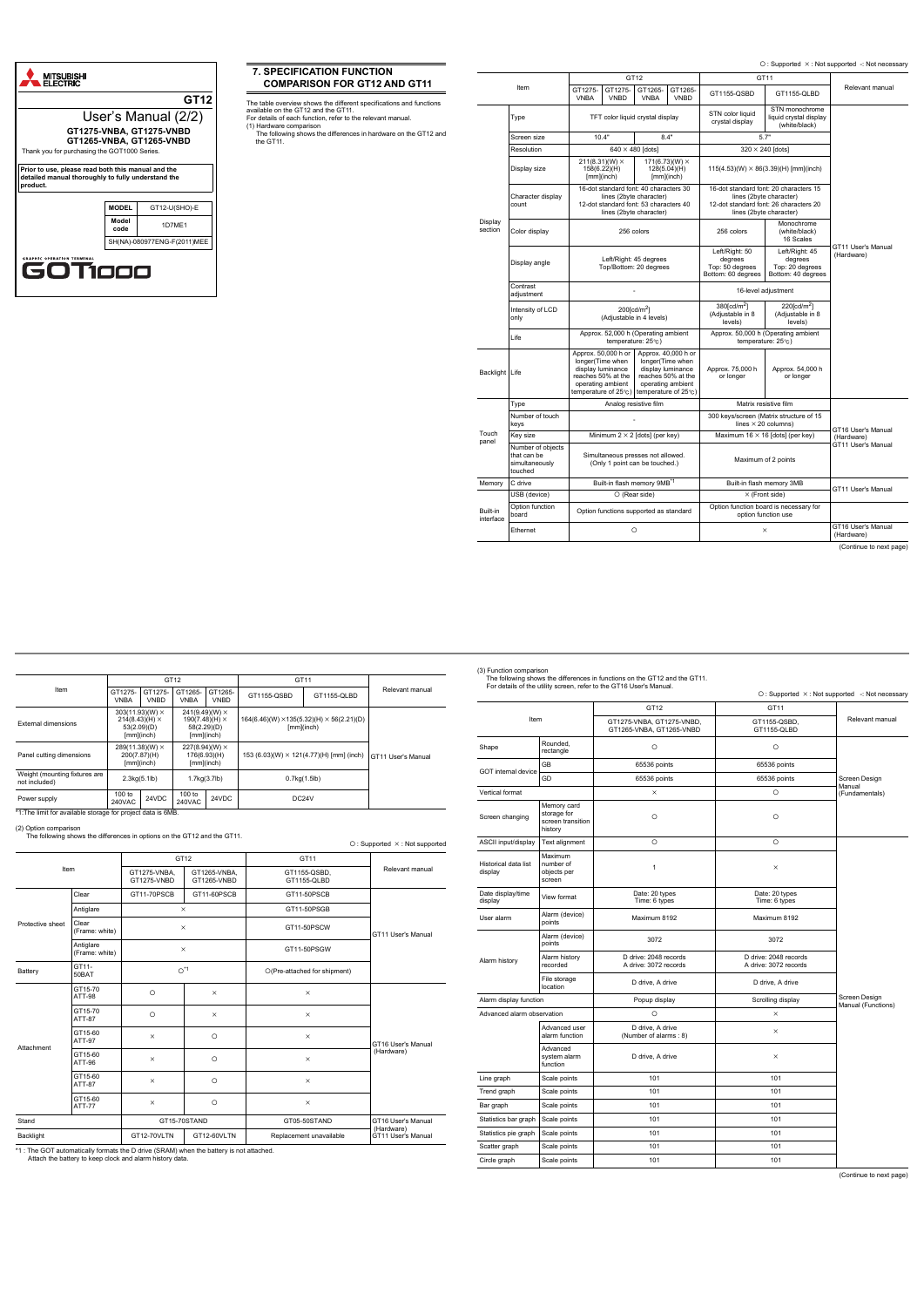

# <span id="page-2-0"></span>**7. SPECIFICATION FUNCTION COMPARISON FOR GT12 AND GT11**

The table overview shows the different specifications and functions

<span id="page-2-1"></span>available on the GT12 and the GT11. For details of each function, refer to the relevant manual. (1) Hardware comparison

The following shows the differences in hardware on the GT12 and the GT11.

O: Supported  $\times$ : Not supported -: Not necessary

(Continue to next page)

|                       |                                                               |                                                           |                                                                                                                                        | GT12                    |                                                                                                                                 |                                                                                                                                        | GT11                                                               |                                  |
|-----------------------|---------------------------------------------------------------|-----------------------------------------------------------|----------------------------------------------------------------------------------------------------------------------------------------|-------------------------|---------------------------------------------------------------------------------------------------------------------------------|----------------------------------------------------------------------------------------------------------------------------------------|--------------------------------------------------------------------|----------------------------------|
| Item                  |                                                               | GT1275-<br><b>VNBA</b>                                    | GT1275-<br><b>VNBD</b>                                                                                                                 | GT1265-<br><b>VNBA</b>  | GT1265-<br><b>VNBD</b>                                                                                                          | GT1155-QSBD                                                                                                                            | GT1155-QLBD                                                        | Relevant manual                  |
|                       | Type                                                          |                                                           | TFT color liquid crystal display                                                                                                       |                         |                                                                                                                                 | STN color liquid<br>crystal display                                                                                                    | STN monochrome<br>liquid crystal display<br>(white/black)          |                                  |
|                       | Screen size                                                   |                                                           | 10.4"                                                                                                                                  |                         | 8.4"                                                                                                                            | 5.7"                                                                                                                                   |                                                                    |                                  |
|                       | Resolution                                                    |                                                           |                                                                                                                                        | $640 \times 480$ [dots] |                                                                                                                                 |                                                                                                                                        | $320 \times 240$ [dots]                                            |                                  |
|                       | Display size                                                  |                                                           | $211(8.31)(W) \times$<br>158(6.22)(H)<br>$[mm]$ (inch)                                                                                 |                         | 171(6.73)(W) $\times$<br>128(5.04)(H)<br>$[mm]$ (inch)                                                                          | $115(4.53)(W) \times 86(3.39)(H)$ [mm](inch)                                                                                           |                                                                    |                                  |
|                       | Character display<br>count                                    |                                                           | 16-dot standard font: 40 characters 30<br>lines (2byte character)<br>12-dot standard font: 53 characters 40<br>lines (2byte character) |                         |                                                                                                                                 | 16-dot standard font: 20 characters 15<br>lines (2byte character)<br>12-dot standard font: 26 characters 20<br>lines (2byte character) |                                                                    |                                  |
| Display<br>section    | Color display                                                 |                                                           |                                                                                                                                        | 256 colors              |                                                                                                                                 | 256 colors                                                                                                                             | Monochrome<br>(white/black)<br>16 Scales                           |                                  |
|                       | Display angle                                                 | Left/Right: 45 degrees<br>Top/Bottom: 20 degrees          |                                                                                                                                        |                         |                                                                                                                                 | Left/Right: 50<br>degrees<br>Top: 50 degrees<br>Bottom: 60 degrees                                                                     | Left/Right: 45<br>degrees<br>Top: 20 degrees<br>Bottom: 40 degrees | GT11 User's Manual<br>(Hardware) |
|                       | Contrast<br>adjustment                                        |                                                           |                                                                                                                                        |                         |                                                                                                                                 | 16-level adjustment                                                                                                                    |                                                                    |                                  |
|                       | Intensity of LCD<br>only                                      | $200$ [cd/m <sup>2</sup> ]<br>(Adjustable in 4 levels)    |                                                                                                                                        |                         |                                                                                                                                 | 380[cd/m <sup>2</sup> ]<br>(Adjustable in 8<br>levels)                                                                                 | 220[cd/m <sup>2</sup> ]<br>(Adjustable in 8<br>levels)             |                                  |
|                       | Life                                                          | Approx. 52,000 h (Operating ambient<br>temperature: 25°C) |                                                                                                                                        |                         |                                                                                                                                 |                                                                                                                                        | Approx. 50,000 h (Operating ambient<br>temperature: 25°C)          |                                  |
| Backlight Life        |                                                               |                                                           | Approx. 50,000 h or<br>longer(Time when<br>display luminance<br>reaches 50% at the<br>operating ambient<br>temperature of 25°c)        |                         | Approx. 40,000 h or<br>longer(Time when<br>display luminance<br>reaches 50% at the<br>operating ambient<br>temperature of 25°c) | Approx. 75,000 h<br>or longer                                                                                                          | Approx. 54,000 h<br>or longer                                      |                                  |
|                       | Type                                                          |                                                           | Analog resistive film                                                                                                                  |                         |                                                                                                                                 |                                                                                                                                        | Matrix resistive film                                              |                                  |
|                       | Number of touch<br>keys                                       |                                                           |                                                                                                                                        |                         |                                                                                                                                 | 300 keys/screen (Matrix structure of 15<br>lines $\times$ 20 columns)                                                                  |                                                                    | GT16 User's Manual               |
| Touch<br>panel        | Key size                                                      |                                                           | Minimum $2 \times 2$ [dots] (per key)                                                                                                  |                         |                                                                                                                                 | Maximum $16 \times 16$ [dots] (per key)                                                                                                |                                                                    | (Hardware)                       |
|                       | Number of objects<br>that can be<br>simultaneously<br>touched |                                                           | Simultaneous presses not allowed.<br>(Only 1 point can be touched.)                                                                    |                         |                                                                                                                                 |                                                                                                                                        | Maximum of 2 points                                                | GT11 User's Manual               |
| Memory                | C drive                                                       | Built-in flash memory 9MB <sup>*1</sup>                   |                                                                                                                                        |                         | Built-in flash memory 3MB                                                                                                       | GT11 User's Manual                                                                                                                     |                                                                    |                                  |
|                       | USB (device)                                                  |                                                           |                                                                                                                                        | $\circ$ (Rear side)     |                                                                                                                                 |                                                                                                                                        | $\times$ (Front side)                                              |                                  |
| Built-in<br>interface | Option function<br>board                                      |                                                           | Option functions supported as standard                                                                                                 |                         |                                                                                                                                 |                                                                                                                                        | Option function board is necessary for<br>option function use      |                                  |
|                       | Ethernet                                                      |                                                           |                                                                                                                                        | $\circ$                 |                                                                                                                                 |                                                                                                                                        | $\times$                                                           | GT16 User's Manual<br>(Hardware) |

\*1:The limit for available storage for project data is 6MB.

(2) Option comparison The following shows the differences in options on the GT12 and the GT11.

\*1 : The GOT automatically formats the D drive (SRAM) when the battery is not attached. Attach the battery to keep clock and alarm history data.

|                                                |                                                                                                                                                                   | GT12<br>GT11           |                                                                        |                        |                    |                                                 |                    |
|------------------------------------------------|-------------------------------------------------------------------------------------------------------------------------------------------------------------------|------------------------|------------------------------------------------------------------------|------------------------|--------------------|-------------------------------------------------|--------------------|
| Item                                           | GT1275-<br><b>VNBA</b>                                                                                                                                            | GT1275-<br><b>VNBD</b> | GT1265-<br><b>VNBA</b>                                                 | GT1265-<br><b>VNBD</b> | GT1155-QSBD        | GT1155-QLBD                                     | Relevant manual    |
| External dimensions                            | $303(11.93)(W) \times$<br>$241(9.49)(W) \times$<br>$214(8.43)(H) \times$<br>190(7.48)(H) $\times$<br>53(2.09)(D)<br>58(2.29)(D)<br>$[mm]$ (inch)<br>$[mm]$ (inch) |                        | $164(6.46)(W) \times 135(5.32)(H) \times 56(2.21)(D)$<br>$[mm]$ (inch) |                        |                    |                                                 |                    |
| Panel cutting dimensions                       | $289(11.38)(W) \times$<br>200(7.87)(H)<br>$[mm]$ (inch)                                                                                                           |                        | $227(8.94)(W) \times$<br>176(6.93)(H)<br>$[mm]$ (inch)                 |                        |                    | 153 (6.03)(W) $\times$ 121(4.77)(H) [mm] (inch) | GT11 User's Manual |
| Weight (mounting fixtures are<br>not included) | 2.3kg(5.1lb)                                                                                                                                                      |                        | 1.7kg(3.7lb)                                                           |                        | 0.7kg(1.5lb)       |                                                 |                    |
| Power supply                                   | $100$ to<br>240VAC                                                                                                                                                | 24VDC                  | $100$ to<br>240VAC                                                     | 24VDC                  | DC <sub>24</sub> V |                                                 |                    |

|                  |                             |                             |                             |                              | $O:$ Supported $\times$ : Not supported |
|------------------|-----------------------------|-----------------------------|-----------------------------|------------------------------|-----------------------------------------|
|                  |                             | GT <sub>12</sub>            |                             | GT11                         |                                         |
| Item             |                             | GT1275-VNBA.<br>GT1275-VNBD | GT1265-VNBA.<br>GT1265-VNBD | GT1155-QSBD,<br>GT1155-QLBD  | Relevant manual                         |
|                  | Clear                       | GT11-70PSCB                 | GT11-60PSCB                 | GT11-50PSCB                  |                                         |
|                  | Antiglare                   | $\times$                    |                             | GT11-50PSGB                  |                                         |
| Protective sheet | Clear<br>(Frame: white)     | $\times$                    |                             | GT11-50PSCW                  | GT11 User's Manual                      |
|                  | Antiglare<br>(Frame: white) | $\times$                    |                             | GT11-50PSGW                  |                                         |
| Battery          | GT11-<br>50BAT              | $O^{\star}1$                |                             | O(Pre-attached for shipment) |                                         |
|                  | GT15-70<br><b>ATT-98</b>    | $\circ$                     | $\times$                    | $\times$                     |                                         |
|                  | GT15-70<br>ATT-87           | $\circ$                     | $\times$                    | $\times$                     |                                         |
| Attachment       | GT15-60<br>ATT-97           | $\times$                    | $\circ$                     | $\times$                     | GT16 User's Manual                      |
|                  | GT15-60<br>ATT-96           | $\times$                    | $\circ$                     | $\times$                     | (Hardware)                              |
|                  | GT15-60<br>ATT-87           | $\times$                    | $\circ$                     | $\times$                     |                                         |
|                  | GT15-60<br><b>ATT-77</b>    | $\times$                    | $\circ$                     | $\times$                     |                                         |
| Stand            |                             |                             | GT15-70STAND                | GT05-50STAND                 | GT16 User's Manual                      |
| Backlight        |                             | GT12-70VLTN                 | GT12-60VLTN                 | Replacement unavailable      | (Hardware)<br>GT11 User's Manual        |

<span id="page-2-2"></span>

(3) Function comparison The following shows the differences in functions on the GT12 and the GT11. For details of the utility screen, refer to the GT16 User's Manual.

(Continue to next page)

|                                 |                                                            | For details of the utility screen, refer to the GT16 User's Manual. | O: Supported X: Not supported -: Not necessary |                                     |
|---------------------------------|------------------------------------------------------------|---------------------------------------------------------------------|------------------------------------------------|-------------------------------------|
|                                 |                                                            | GT12                                                                | GT11                                           |                                     |
| Item                            |                                                            | GT1275-VNBA, GT1275-VNBD,<br>GT1265-VNBA, GT1265-VNBD               | GT1155-QSBD,<br>GT1155-QLBD                    | Relevant manual                     |
| Shape                           | Rounded.<br>rectangle                                      | $\circ$                                                             | $\circ$                                        |                                     |
| <b>GOT</b> internal device      | <b>GB</b>                                                  | 65536 points                                                        | 65536 points                                   |                                     |
|                                 | GD                                                         | 65536 points                                                        | 65536 points                                   | Screen Design                       |
| Vertical format                 |                                                            | $\times$                                                            | $\circ$                                        | Manual<br>(Fundamentals)            |
| Screen changing                 | Memory card<br>storage for<br>screen transition<br>history | $\circ$                                                             | $\circ$                                        |                                     |
| ASCII input/display             | Text alignment                                             | $\circ$                                                             | $\circ$                                        |                                     |
| Historical data list<br>display | Maximum<br>number of<br>objects per<br>screen              | 1                                                                   | $\times$                                       |                                     |
| Date display/time<br>display    | View format                                                | Date: 20 types<br>Time: 6 types                                     | Date: 20 types<br>Time: 6 types                |                                     |
| User alarm                      | Alarm (device)<br>points                                   | Maximum 8192                                                        | Maximum 8192                                   |                                     |
|                                 | Alarm (device)<br>points                                   | 3072                                                                | 3072                                           |                                     |
| Alarm history                   | Alarm history<br>recorded                                  | D drive: 2048 records<br>A drive: 3072 records                      | D drive: 2048 records<br>A drive: 3072 records |                                     |
|                                 | File storage<br>location                                   | D drive, A drive                                                    | D drive, A drive                               |                                     |
| Alarm display function          |                                                            | Popup display                                                       | Scrolling display                              | Screen Design<br>Manual (Functions) |
| Advanced alarm observation      |                                                            | $\Omega$                                                            | $\times$                                       |                                     |
|                                 | Advanced user<br>alarm function                            | D drive, A drive<br>(Number of alarms: 8)                           | $\times$                                       |                                     |
|                                 | Advanced<br>system alarm<br>function                       | D drive, A drive                                                    | $\times$                                       |                                     |
| Line graph                      | Scale points                                               | 101                                                                 | 101                                            |                                     |
| Trend graph                     | Scale points                                               | 101                                                                 | 101                                            |                                     |
| Bar graph                       | Scale points                                               | 101                                                                 | 101                                            |                                     |
| Statistics bar graph            | Scale points                                               | 101                                                                 | 101                                            |                                     |
| Statistics pie graph            | Scale points                                               | 101                                                                 | 101                                            |                                     |
| Scatter graph                   | Scale points                                               | 101                                                                 | 101                                            |                                     |
| Circle graph                    | Scale points                                               | 101                                                                 | 101                                            |                                     |